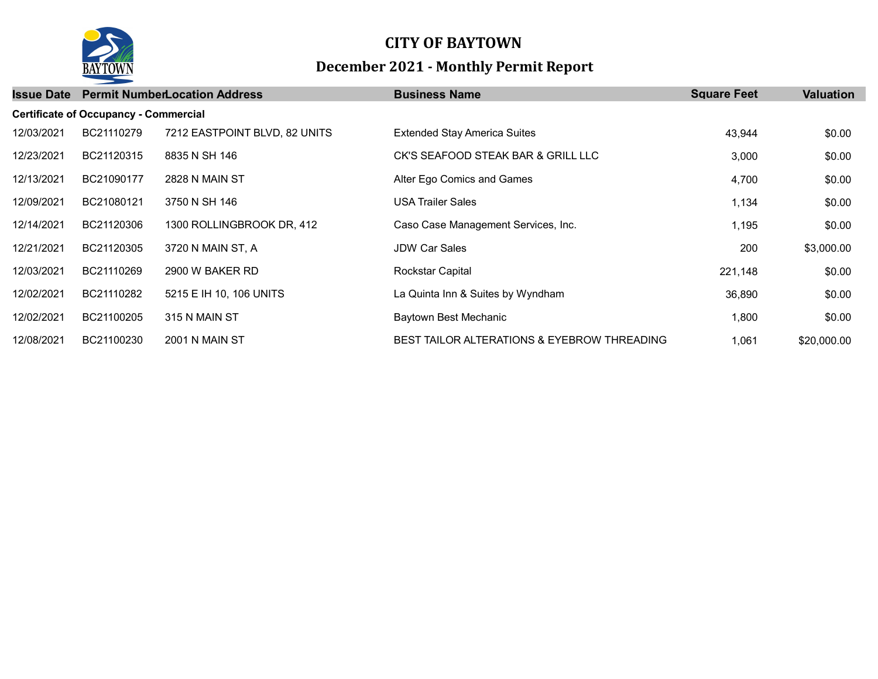

## CITY OF BAYTOWN December 2021 - Monthly Permit Report

| <b>Issue Date</b>                            |            | <b>Permit NumberLocation Address</b> | <b>Business Name</b>                        | <b>Square Feet</b> | <b>Valuation</b> |  |  |  |  |
|----------------------------------------------|------------|--------------------------------------|---------------------------------------------|--------------------|------------------|--|--|--|--|
| <b>Certificate of Occupancy - Commercial</b> |            |                                      |                                             |                    |                  |  |  |  |  |
| 12/03/2021                                   | BC21110279 | 7212 EASTPOINT BLVD, 82 UNITS        | <b>Extended Stay America Suites</b>         | 43,944             | \$0.00           |  |  |  |  |
| 12/23/2021                                   | BC21120315 | 8835 N SH 146                        | CK'S SEAFOOD STEAK BAR & GRILL LLC          | 3,000              | \$0.00           |  |  |  |  |
| 12/13/2021                                   | BC21090177 | <b>2828 N MAIN ST</b>                | Alter Ego Comics and Games                  | 4,700              | \$0.00           |  |  |  |  |
| 12/09/2021                                   | BC21080121 | 3750 N SH 146                        | <b>USA Trailer Sales</b>                    | 1,134              | \$0.00           |  |  |  |  |
| 12/14/2021                                   | BC21120306 | 1300 ROLLINGBROOK DR, 412            | Caso Case Management Services, Inc.         | 1,195              | \$0.00           |  |  |  |  |
| 12/21/2021                                   | BC21120305 | 3720 N MAIN ST, A                    | <b>JDW Car Sales</b>                        | 200                | \$3,000.00       |  |  |  |  |
| 12/03/2021                                   | BC21110269 | 2900 W BAKER RD                      | Rockstar Capital                            | 221,148            | \$0.00           |  |  |  |  |
| 12/02/2021                                   | BC21110282 | 5215 E IH 10, 106 UNITS              | La Quinta Inn & Suites by Wyndham           | 36,890             | \$0.00           |  |  |  |  |
| 12/02/2021                                   | BC21100205 | 315 N MAIN ST                        | Baytown Best Mechanic                       | 1,800              | \$0.00           |  |  |  |  |
| 12/08/2021                                   | BC21100230 | <b>2001 N MAIN ST</b>                | BEST TAILOR ALTERATIONS & EYEBROW THREADING | 1,061              | \$20,000.00      |  |  |  |  |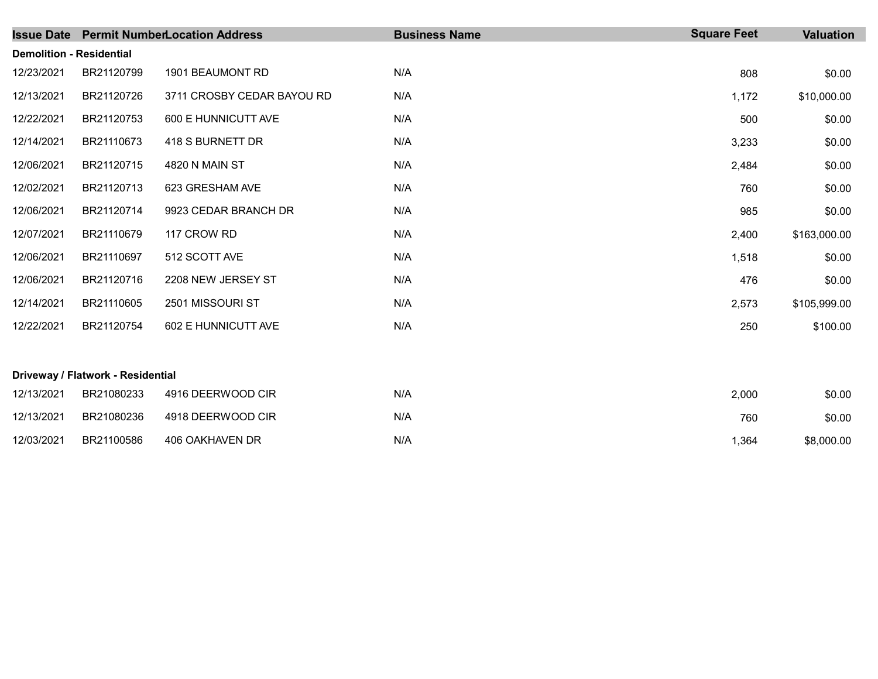|                                 |                                   | <b>Issue Date Permit NumberLocation Address</b> | <b>Business Name</b> | <b>Square Feet</b> | <b>Valuation</b> |
|---------------------------------|-----------------------------------|-------------------------------------------------|----------------------|--------------------|------------------|
| <b>Demolition - Residential</b> |                                   |                                                 |                      |                    |                  |
| 12/23/2021                      | BR21120799                        | 1901 BEAUMONT RD                                | N/A                  | 808                | \$0.00           |
| 12/13/2021                      | BR21120726                        | 3711 CROSBY CEDAR BAYOU RD                      | N/A                  | 1,172              | \$10,000.00      |
| 12/22/2021                      | BR21120753                        | 600 E HUNNICUTT AVE                             | N/A                  | 500                | \$0.00           |
| 12/14/2021                      | BR21110673                        | 418 S BURNETT DR                                | N/A                  | 3,233              | \$0.00           |
| 12/06/2021                      | BR21120715                        | 4820 N MAIN ST                                  | N/A                  | 2,484              | \$0.00           |
| 12/02/2021                      | BR21120713                        | 623 GRESHAM AVE                                 | N/A                  | 760                | \$0.00           |
| 12/06/2021                      | BR21120714                        | 9923 CEDAR BRANCH DR                            | N/A                  | 985                | \$0.00           |
| 12/07/2021                      | BR21110679                        | 117 CROW RD                                     | N/A                  | 2,400              | \$163,000.00     |
| 12/06/2021                      | BR21110697                        | 512 SCOTT AVE                                   | N/A                  | 1,518              | \$0.00           |
| 12/06/2021                      | BR21120716                        | 2208 NEW JERSEY ST                              | N/A                  | 476                | \$0.00           |
| 12/14/2021                      | BR21110605                        | 2501 MISSOURI ST                                | N/A                  | 2,573              | \$105,999.00     |
| 12/22/2021                      | BR21120754                        | 602 E HUNNICUTT AVE                             | N/A                  | 250                | \$100.00         |
|                                 | Driveway / Flatwork - Residential |                                                 |                      |                    |                  |
| 12/13/2021                      | BR21080233                        | 4916 DEERWOOD CIR                               | N/A                  | 2,000              | \$0.00           |
| 12/13/2021                      | BR21080236                        | 4918 DEERWOOD CIR                               | N/A                  | 760                | \$0.00           |
| 12/03/2021                      | BR21100586                        | 406 OAKHAVEN DR                                 | N/A                  | 1,364              | \$8,000.00       |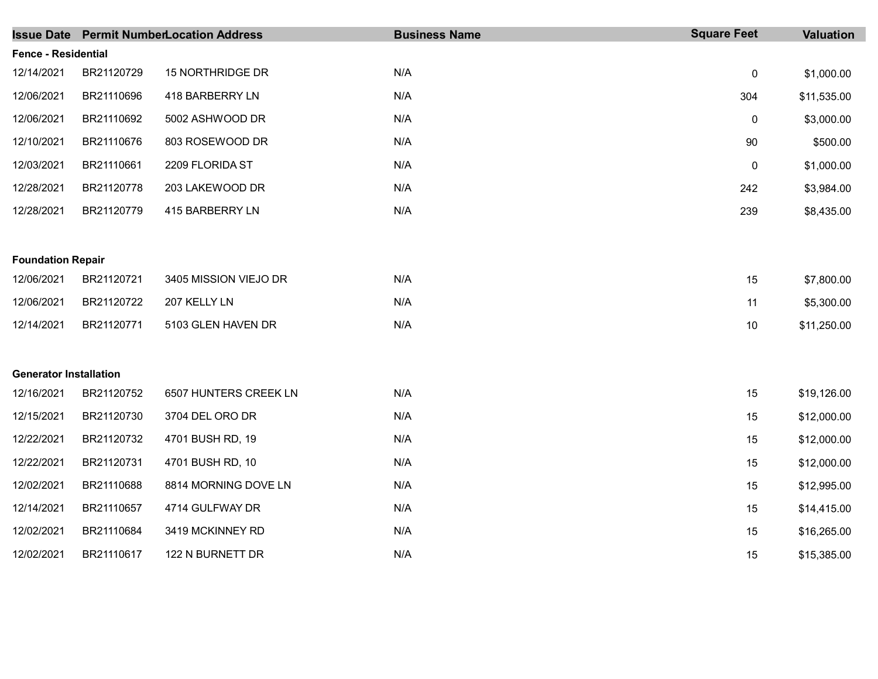|                               |            | <b>Issue Date Permit NumberLocation Address</b> | <b>Business Name</b> | <b>Square Feet</b> | Valuation   |
|-------------------------------|------------|-------------------------------------------------|----------------------|--------------------|-------------|
| <b>Fence - Residential</b>    |            |                                                 |                      |                    |             |
| 12/14/2021                    | BR21120729 | 15 NORTHRIDGE DR                                | N/A                  | $\mathbf 0$        | \$1,000.00  |
| 12/06/2021                    | BR21110696 | 418 BARBERRY LN                                 | N/A                  | 304                | \$11,535.00 |
| 12/06/2021                    | BR21110692 | 5002 ASHWOOD DR                                 | N/A                  | 0                  | \$3,000.00  |
| 12/10/2021                    | BR21110676 | 803 ROSEWOOD DR                                 | N/A                  | 90                 | \$500.00    |
| 12/03/2021                    | BR21110661 | 2209 FLORIDA ST                                 | N/A                  | 0                  | \$1,000.00  |
| 12/28/2021                    | BR21120778 | 203 LAKEWOOD DR                                 | N/A                  | 242                | \$3,984.00  |
| 12/28/2021                    | BR21120779 | 415 BARBERRY LN                                 | N/A                  | 239                | \$8,435.00  |
|                               |            |                                                 |                      |                    |             |
| <b>Foundation Repair</b>      |            |                                                 |                      |                    |             |
| 12/06/2021                    | BR21120721 | 3405 MISSION VIEJO DR                           | N/A                  | 15                 | \$7,800.00  |
| 12/06/2021                    | BR21120722 | 207 KELLY LN                                    | N/A                  | 11                 | \$5,300.00  |
| 12/14/2021                    | BR21120771 | 5103 GLEN HAVEN DR                              | N/A                  | 10                 | \$11,250.00 |
|                               |            |                                                 |                      |                    |             |
| <b>Generator Installation</b> |            |                                                 |                      |                    |             |
| 12/16/2021                    | BR21120752 | 6507 HUNTERS CREEK LN                           | N/A                  | 15                 | \$19,126.00 |
| 12/15/2021                    | BR21120730 | 3704 DEL ORO DR                                 | N/A                  | 15                 | \$12,000.00 |
| 12/22/2021                    | BR21120732 | 4701 BUSH RD, 19                                | N/A                  | 15                 | \$12,000.00 |
| 12/22/2021                    | BR21120731 | 4701 BUSH RD, 10                                | N/A                  | 15                 | \$12,000.00 |
| 12/02/2021                    | BR21110688 | 8814 MORNING DOVE LN                            | N/A                  | 15                 | \$12,995.00 |
| 12/14/2021                    | BR21110657 | 4714 GULFWAY DR                                 | N/A                  | 15                 | \$14,415.00 |
| 12/02/2021                    | BR21110684 | 3419 MCKINNEY RD                                | N/A                  | 15                 | \$16,265.00 |
| 12/02/2021                    | BR21110617 | 122 N BURNETT DR                                | N/A                  | 15                 | \$15,385.00 |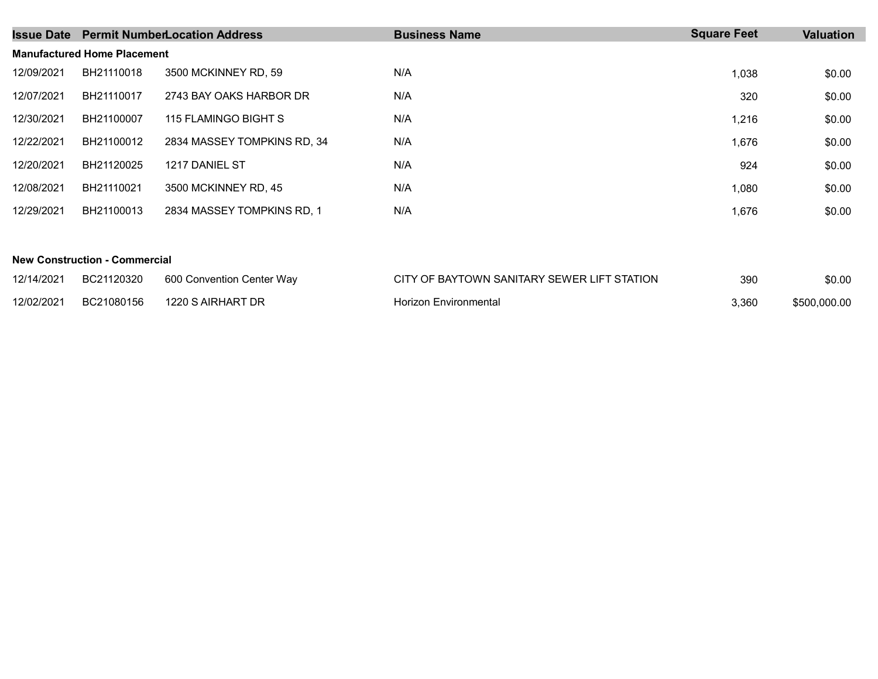| <b>Issue Date</b>                  |            | <b>Permit NumberLocation Address</b> | <b>Business Name</b> | <b>Square Feet</b> | Valuation |  |  |  |  |
|------------------------------------|------------|--------------------------------------|----------------------|--------------------|-----------|--|--|--|--|
| <b>Manufactured Home Placement</b> |            |                                      |                      |                    |           |  |  |  |  |
| 12/09/2021                         | BH21110018 | 3500 MCKINNEY RD, 59                 | N/A                  | 1,038              | \$0.00    |  |  |  |  |
| 12/07/2021                         | BH21110017 | 2743 BAY OAKS HARBOR DR              | N/A                  | 320                | \$0.00    |  |  |  |  |
| 12/30/2021                         | BH21100007 | 115 FLAMINGO BIGHT S                 | N/A                  | 1.216              | \$0.00    |  |  |  |  |
| 12/22/2021                         | BH21100012 | 2834 MASSEY TOMPKINS RD. 34          | N/A                  | 1,676              | \$0.00    |  |  |  |  |
| 12/20/2021                         | BH21120025 | 1217 DANIEL ST                       | N/A                  | 924                | \$0.00    |  |  |  |  |
| 12/08/2021                         | BH21110021 | 3500 MCKINNEY RD, 45                 | N/A                  | 1,080              | \$0.00    |  |  |  |  |
| 12/29/2021                         | BH21100013 | 2834 MASSEY TOMPKINS RD. 1           | N/A                  | 1,676              | \$0.00    |  |  |  |  |

## New Construction - Commercial

| 12/14/2021 | BC21120320 | 600 Convention Center Way | CITY OF BAYTOWN SANITARY SEWER LIFT STATION | 390   | \$0.00       |
|------------|------------|---------------------------|---------------------------------------------|-------|--------------|
| 12/02/2021 | BC21080156 | 1220 S AIRHART DR         | Horizon Environmental                       | 3,360 | \$500,000.00 |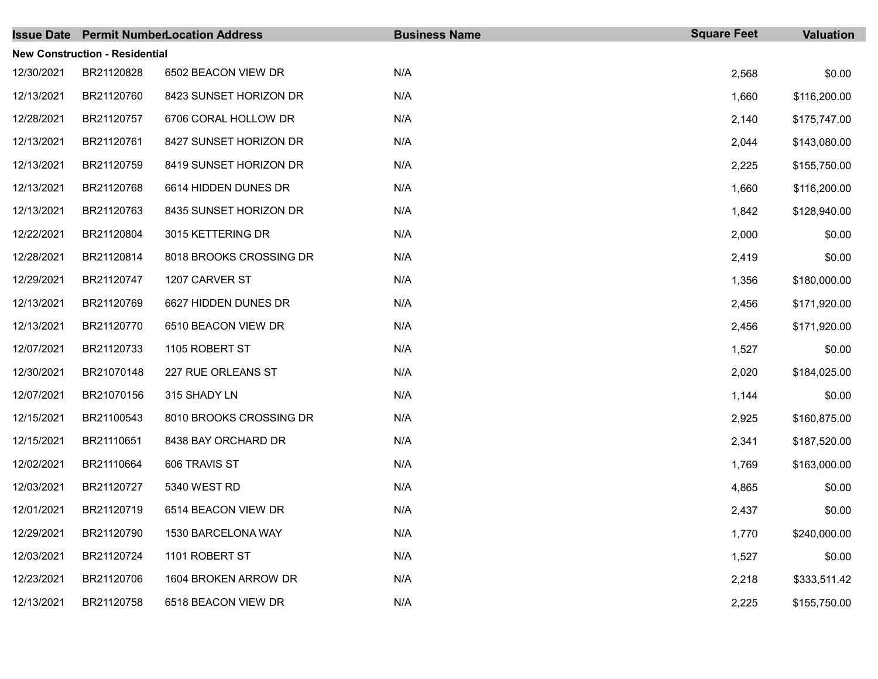|            |                                       | <b>Issue Date Permit NumberLocation Address</b> | <b>Business Name</b> | <b>Square Feet</b> | <b>Valuation</b> |
|------------|---------------------------------------|-------------------------------------------------|----------------------|--------------------|------------------|
|            | <b>New Construction - Residential</b> |                                                 |                      |                    |                  |
| 12/30/2021 | BR21120828                            | 6502 BEACON VIEW DR                             | N/A                  | 2,568              | \$0.00           |
| 12/13/2021 | BR21120760                            | 8423 SUNSET HORIZON DR                          | N/A                  | 1,660              | \$116,200.00     |
| 12/28/2021 | BR21120757                            | 6706 CORAL HOLLOW DR                            | N/A                  | 2,140              | \$175,747.00     |
| 12/13/2021 | BR21120761                            | 8427 SUNSET HORIZON DR                          | N/A                  | 2,044              | \$143,080.00     |
| 12/13/2021 | BR21120759                            | 8419 SUNSET HORIZON DR                          | N/A                  | 2,225              | \$155,750.00     |
| 12/13/2021 | BR21120768                            | 6614 HIDDEN DUNES DR                            | N/A                  | 1,660              | \$116,200.00     |
| 12/13/2021 | BR21120763                            | 8435 SUNSET HORIZON DR                          | N/A                  | 1,842              | \$128,940.00     |
| 12/22/2021 | BR21120804                            | 3015 KETTERING DR                               | N/A                  | 2,000              | \$0.00           |
| 12/28/2021 | BR21120814                            | 8018 BROOKS CROSSING DR                         | N/A                  | 2,419              | \$0.00           |
| 12/29/2021 | BR21120747                            | 1207 CARVER ST                                  | N/A                  | 1,356              | \$180,000.00     |
| 12/13/2021 | BR21120769                            | 6627 HIDDEN DUNES DR                            | N/A                  | 2,456              | \$171,920.00     |
| 12/13/2021 | BR21120770                            | 6510 BEACON VIEW DR                             | N/A                  | 2,456              | \$171,920.00     |
| 12/07/2021 | BR21120733                            | 1105 ROBERT ST                                  | N/A                  | 1,527              | \$0.00           |
| 12/30/2021 | BR21070148                            | 227 RUE ORLEANS ST                              | N/A                  | 2,020              | \$184,025.00     |
| 12/07/2021 | BR21070156                            | 315 SHADY LN                                    | N/A                  | 1,144              | \$0.00           |
| 12/15/2021 | BR21100543                            | 8010 BROOKS CROSSING DR                         | N/A                  | 2,925              | \$160,875.00     |
| 12/15/2021 | BR21110651                            | 8438 BAY ORCHARD DR                             | N/A                  | 2,341              | \$187,520.00     |
| 12/02/2021 | BR21110664                            | 606 TRAVIS ST                                   | N/A                  | 1,769              | \$163,000.00     |
| 12/03/2021 | BR21120727                            | 5340 WEST RD                                    | N/A                  | 4,865              | \$0.00           |
| 12/01/2021 | BR21120719                            | 6514 BEACON VIEW DR                             | N/A                  | 2,437              | \$0.00           |
| 12/29/2021 | BR21120790                            | 1530 BARCELONA WAY                              | N/A                  | 1,770              | \$240,000.00     |
| 12/03/2021 | BR21120724                            | 1101 ROBERT ST                                  | N/A                  | 1,527              | \$0.00           |
| 12/23/2021 | BR21120706                            | 1604 BROKEN ARROW DR                            | N/A                  | 2,218              | \$333,511.42     |
| 12/13/2021 | BR21120758                            | 6518 BEACON VIEW DR                             | N/A                  | 2,225              | \$155,750.00     |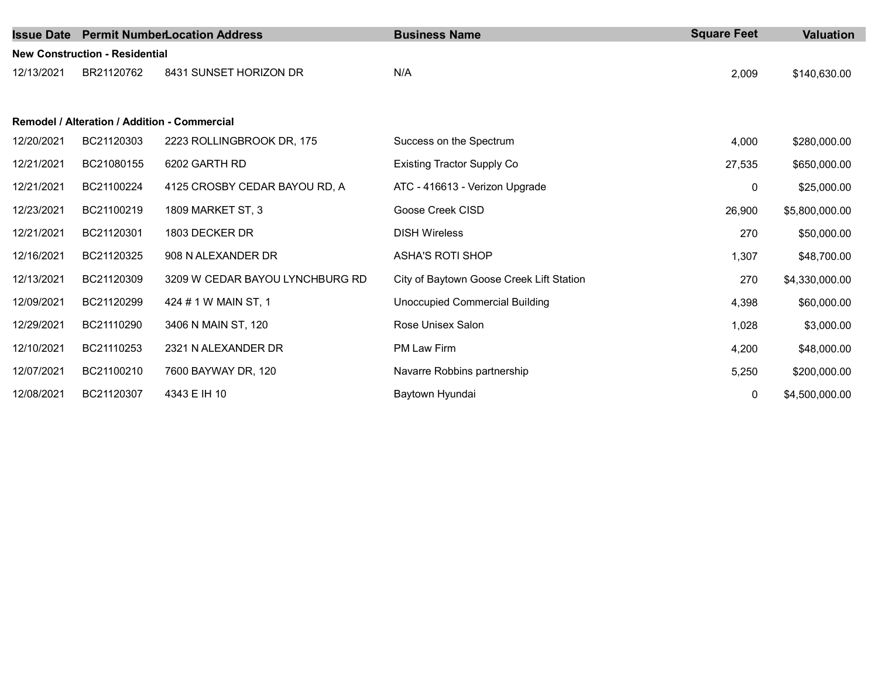|            |                                       | <b>Issue Date Permit NumberLocation Address</b> | <b>Business Name</b>                     | <b>Square Feet</b> | <b>Valuation</b> |  |  |  |  |
|------------|---------------------------------------|-------------------------------------------------|------------------------------------------|--------------------|------------------|--|--|--|--|
|            | <b>New Construction - Residential</b> |                                                 |                                          |                    |                  |  |  |  |  |
| 12/13/2021 | BR21120762                            | 8431 SUNSET HORIZON DR                          | N/A                                      | 2,009              | \$140,630.00     |  |  |  |  |
|            |                                       |                                                 |                                          |                    |                  |  |  |  |  |
|            |                                       | Remodel / Alteration / Addition - Commercial    |                                          |                    |                  |  |  |  |  |
| 12/20/2021 | BC21120303                            | 2223 ROLLINGBROOK DR, 175                       | Success on the Spectrum                  | 4,000              | \$280,000.00     |  |  |  |  |
| 12/21/2021 | BC21080155                            | 6202 GARTH RD                                   | <b>Existing Tractor Supply Co</b>        | 27,535             | \$650,000.00     |  |  |  |  |
| 12/21/2021 | BC21100224                            | 4125 CROSBY CEDAR BAYOU RD, A                   | ATC - 416613 - Verizon Upgrade           | 0                  | \$25,000.00      |  |  |  |  |
| 12/23/2021 | BC21100219                            | 1809 MARKET ST, 3                               | Goose Creek CISD                         | 26,900             | \$5,800,000.00   |  |  |  |  |
| 12/21/2021 | BC21120301                            | 1803 DECKER DR                                  | <b>DISH Wireless</b>                     | 270                | \$50,000.00      |  |  |  |  |
| 12/16/2021 | BC21120325                            | 908 N ALEXANDER DR                              | <b>ASHA'S ROTI SHOP</b>                  | 1,307              | \$48,700.00      |  |  |  |  |
| 12/13/2021 | BC21120309                            | 3209 W CEDAR BAYOU LYNCHBURG RD                 | City of Baytown Goose Creek Lift Station | 270                | \$4,330,000.00   |  |  |  |  |
| 12/09/2021 | BC21120299                            | 424 # 1 W MAIN ST, 1                            | <b>Unoccupied Commercial Building</b>    | 4,398              | \$60,000.00      |  |  |  |  |
| 12/29/2021 | BC21110290                            | 3406 N MAIN ST, 120                             | Rose Unisex Salon                        | 1,028              | \$3,000.00       |  |  |  |  |
| 12/10/2021 | BC21110253                            | 2321 N ALEXANDER DR                             | PM Law Firm                              | 4,200              | \$48,000.00      |  |  |  |  |
| 12/07/2021 | BC21100210                            | 7600 BAYWAY DR, 120                             | Navarre Robbins partnership              | 5,250              | \$200,000.00     |  |  |  |  |
| 12/08/2021 | BC21120307                            | 4343 E IH 10                                    | Baytown Hyundai                          | 0                  | \$4,500,000.00   |  |  |  |  |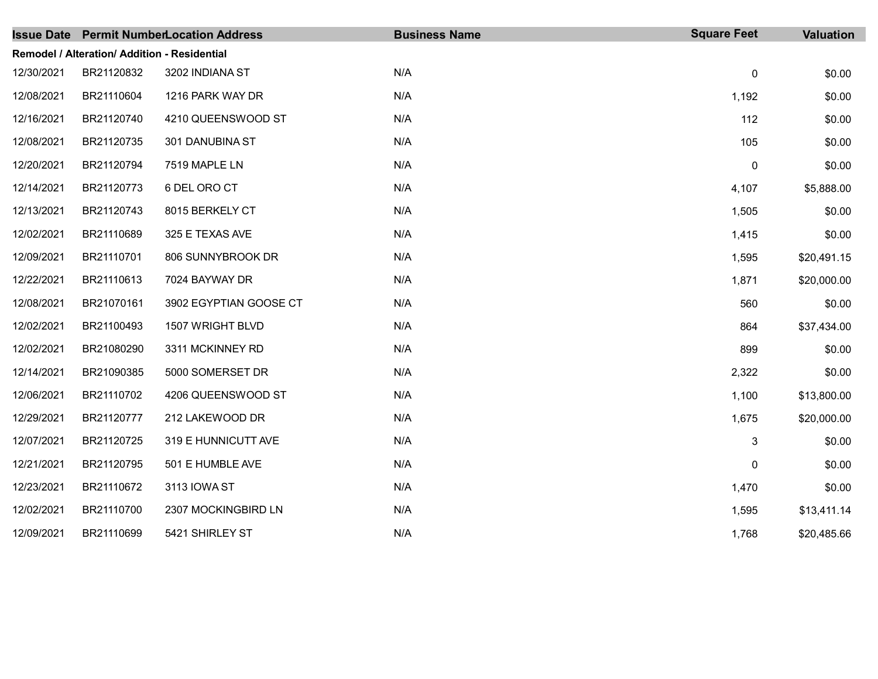|            |                                              | <b>Issue Date Permit NumberLocation Address</b> | <b>Business Name</b> | <b>Square Feet</b> | <b>Valuation</b> |
|------------|----------------------------------------------|-------------------------------------------------|----------------------|--------------------|------------------|
|            | Remodel / Alteration/ Addition - Residential |                                                 |                      |                    |                  |
| 12/30/2021 | BR21120832                                   | 3202 INDIANA ST                                 | N/A                  | $\pmb{0}$          | \$0.00           |
| 12/08/2021 | BR21110604                                   | 1216 PARK WAY DR                                | N/A                  | 1,192              | \$0.00           |
| 12/16/2021 | BR21120740                                   | 4210 QUEENSWOOD ST                              | N/A                  | 112                | \$0.00           |
| 12/08/2021 | BR21120735                                   | 301 DANUBINA ST                                 | N/A                  | 105                | \$0.00           |
| 12/20/2021 | BR21120794                                   | 7519 MAPLE LN                                   | N/A                  | $\pmb{0}$          | \$0.00           |
| 12/14/2021 | BR21120773                                   | 6 DEL ORO CT                                    | N/A                  | 4,107              | \$5,888.00       |
| 12/13/2021 | BR21120743                                   | 8015 BERKELY CT                                 | N/A                  | 1,505              | \$0.00           |
| 12/02/2021 | BR21110689                                   | 325 E TEXAS AVE                                 | N/A                  | 1,415              | \$0.00           |
| 12/09/2021 | BR21110701                                   | 806 SUNNYBROOK DR                               | N/A                  | 1,595              | \$20,491.15      |
| 12/22/2021 | BR21110613                                   | 7024 BAYWAY DR                                  | N/A                  | 1,871              | \$20,000.00      |
| 12/08/2021 | BR21070161                                   | 3902 EGYPTIAN GOOSE CT                          | N/A                  | 560                | \$0.00           |
| 12/02/2021 | BR21100493                                   | 1507 WRIGHT BLVD                                | N/A                  | 864                | \$37,434.00      |
| 12/02/2021 | BR21080290                                   | 3311 MCKINNEY RD                                | N/A                  | 899                | \$0.00           |
| 12/14/2021 | BR21090385                                   | 5000 SOMERSET DR                                | N/A                  | 2,322              | \$0.00           |
| 12/06/2021 | BR21110702                                   | 4206 QUEENSWOOD ST                              | N/A                  | 1,100              | \$13,800.00      |
| 12/29/2021 | BR21120777                                   | 212 LAKEWOOD DR                                 | N/A                  | 1,675              | \$20,000.00      |
| 12/07/2021 | BR21120725                                   | 319 E HUNNICUTT AVE                             | N/A                  | 3                  | \$0.00           |
| 12/21/2021 | BR21120795                                   | 501 E HUMBLE AVE                                | N/A                  | 0                  | \$0.00           |
| 12/23/2021 | BR21110672                                   | 3113 IOWA ST                                    | N/A                  | 1,470              | \$0.00           |
| 12/02/2021 | BR21110700                                   | 2307 MOCKINGBIRD LN                             | N/A                  | 1,595              | \$13,411.14      |
| 12/09/2021 | BR21110699                                   | 5421 SHIRLEY ST                                 | N/A                  | 1,768              | \$20,485.66      |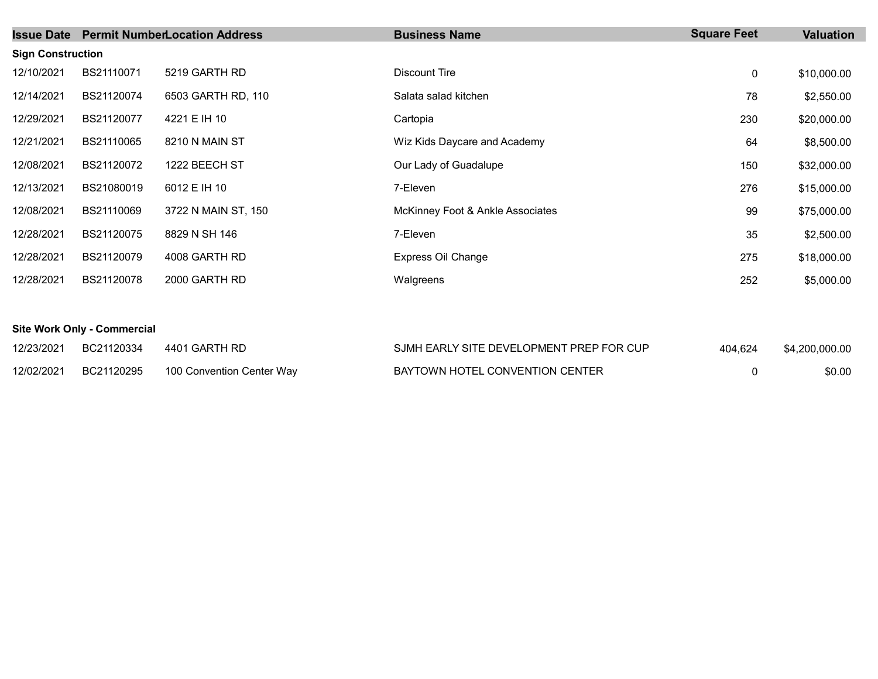| <b>Issue Date</b>        |            | <b>Permit NumberLocation Address</b> | <b>Business Name</b>             | <b>Square Feet</b> | Valuation   |
|--------------------------|------------|--------------------------------------|----------------------------------|--------------------|-------------|
| <b>Sign Construction</b> |            |                                      |                                  |                    |             |
| 12/10/2021               | BS21110071 | 5219 GARTH RD                        | Discount Tire                    | 0                  | \$10,000.00 |
| 12/14/2021               | BS21120074 | 6503 GARTH RD, 110                   | Salata salad kitchen             | 78                 | \$2,550.00  |
| 12/29/2021               | BS21120077 | 4221 E IH 10                         | Cartopia                         | 230                | \$20,000.00 |
| 12/21/2021               | BS21110065 | 8210 N MAIN ST                       | Wiz Kids Daycare and Academy     | 64                 | \$8,500.00  |
| 12/08/2021               | BS21120072 | 1222 BEECH ST                        | Our Lady of Guadalupe            | 150                | \$32,000.00 |
| 12/13/2021               | BS21080019 | 6012 E IH 10                         | 7-Eleven                         | 276                | \$15,000.00 |
| 12/08/2021               | BS21110069 | 3722 N MAIN ST, 150                  | McKinney Foot & Ankle Associates | 99                 | \$75,000.00 |
| 12/28/2021               | BS21120075 | 8829 N SH 146                        | 7-Eleven                         | 35                 | \$2,500.00  |
| 12/28/2021               | BS21120079 | 4008 GARTH RD                        | Express Oil Change               | 275                | \$18,000.00 |
| 12/28/2021               | BS21120078 | 2000 GARTH RD                        | Walgreens                        | 252                | \$5,000.00  |

## Site Work Only - Commercial

| 12/23/2021 | BC21120334 | 4401 GARTH RD             | SJMH EARLY SITE DEVELOPMENT PREP FOR CUP | 404.624 | \$4,200,000.00 |
|------------|------------|---------------------------|------------------------------------------|---------|----------------|
| 12/02/2021 | BC21120295 | 100 Convention Center Wav | BAYTOWN HOTEL CONVENTION CENTER          |         | \$0.00         |